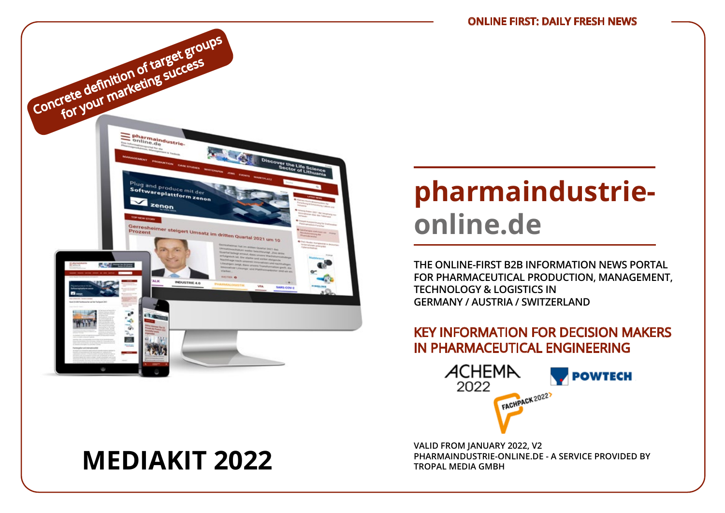

# **pharmaindustrieonline.de**

**THE ONLINE-FIRST B2B INFORMATION NEWS PORTAL FOR PHARMACEUTICAL PRODUCTION, MANAGEMENT, TECHNOLOGY & LOGISTICS IN GERMANY / AUSTRIA / SWITZERLAND**

# KEY INFORMATION FOR DECISION MAKERS IN PHARMACEUTICAL ENGINEERING



**VALID FROM JANUARY 2022, V2 MEDIAKIT 2022 PHARMAINDUSTRIE-ONLINE.DE - A SERVICE PROVIDED BY**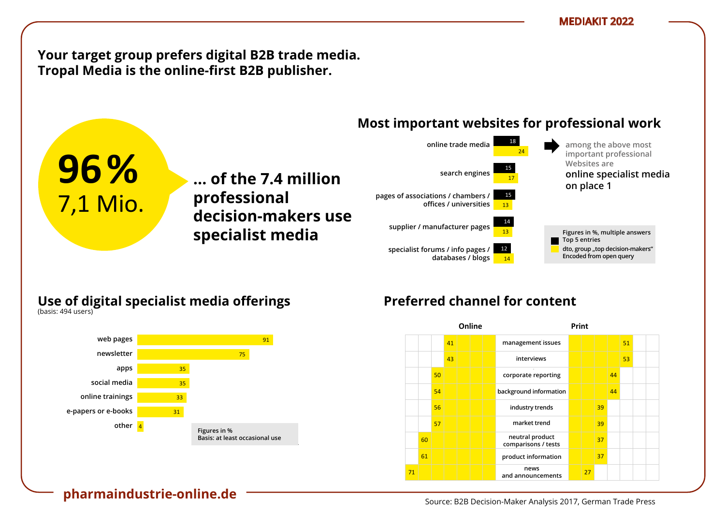**Your target group prefers digital B2B trade media.** Tropal Media is the online-first B2B publisher.

**… der 7,4 Mio. ... of the 7.4 million** 

**Entscheider**  80 **decision-makers use** 

**Professionellen professional** 

#### **Most important websites for professional work** vertreterninger instituten t websites for prof



### **Use of digital specialist media offerings** Nutzung digitaler Fachmedien-Angebote

**nutzung ließen Fachanden Specialist media** 

**B2B-Entscheides 2018**  $(Na)$ sis.  $474$  users)

1 7,1 Mio.

am Arbeitsplatz

zu Hause

(Basis: 502 Nutzer)

(Basis: 494 Nutzer)

**96%**



# Preferred channel for content

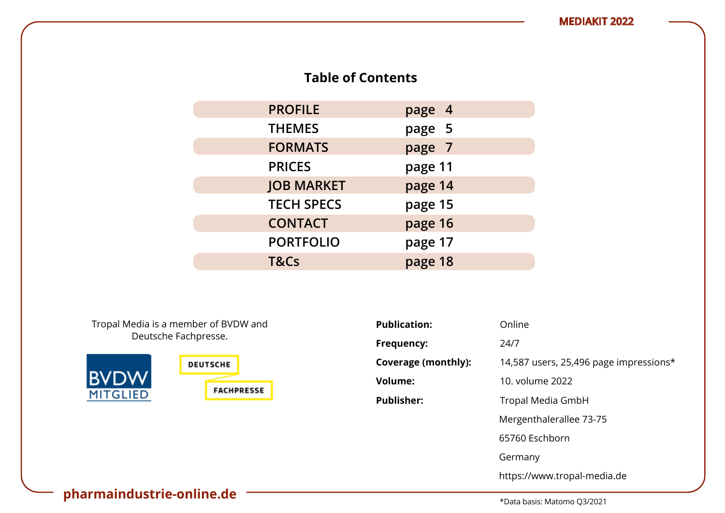# **Table of Contents**

| <b>PROFILE</b>    | page 4  |
|-------------------|---------|
| <b>THEMES</b>     | page 5  |
| <b>FORMATS</b>    | page 7  |
| <b>PRICES</b>     | page 11 |
| <b>JOB MARKET</b> | page 14 |
| <b>TECH SPECS</b> | page 15 |
| <b>CONTACT</b>    | page 16 |
| <b>PORTFOLIO</b>  | page 17 |
| T&Cs              | page 18 |

Tropal Media is a member of BVDW and Deutsche Fachpresse.



| <b>Publication:</b> | Online                                 |
|---------------------|----------------------------------------|
| Frequency:          | 24/7                                   |
| Coverage (monthly): | 14,587 users, 25,496 page impressions* |
| <b>Volume:</b>      | 10. volume 2022                        |
| <b>Publisher:</b>   | Tropal Media GmbH                      |
|                     | Mergenthalerallee 73-75                |
|                     | 65760 Eschborn                         |
|                     | Germany                                |
|                     | https://www.tropal-media.de            |

# **pharmaindustrie-online.de**  $\overbrace{ }$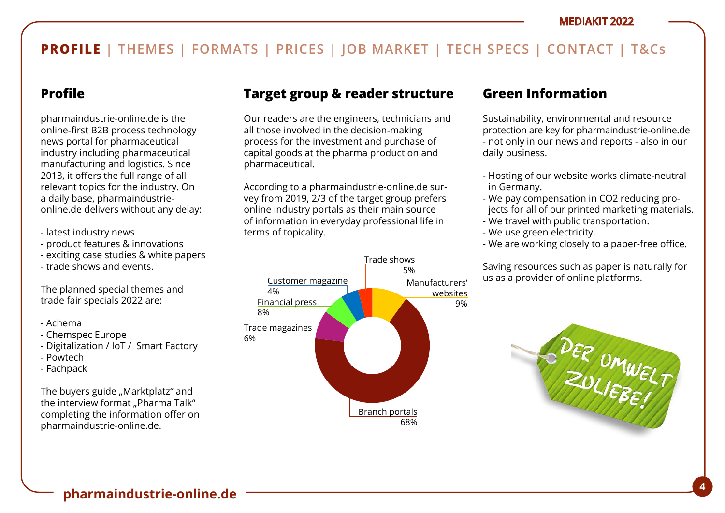# **Profile**

pharmaindustrie-online.de is the online-first B2B process technology news portal for pharmaceutical industry including pharmaceutical manufacturing and logistics. Since 2013, it offers the full range of all relevant topics for the industry. On a daily base, pharmaindustrieonline.de delivers without any delay:

- latest industry news
- product features & innovations
- exciting case studies & white papers
- trade shows and events.

The planned special themes and trade fair specials 2022 are:

- Achema
- Chemspec Europe
- Digitalization / IoT / Smart Factory
- Powtech
- Fachpack

The buyers guide "Marktplatz" and the interview format "Pharma Talk" completing the information offer on pharmaindustrie-online.de.

# **Target group & reader structure**

Our readers are the engineers, technicians and all those involved in the decision-making process for the investment and purchase of capital goods at the pharma production and pharmaceutical.

According to a pharmaindustrie-online.de survey from 2019, 2/3 of the target group prefers online industry portals as their main source of information in everyday professional life in terms of topicality.



## **Green Information**

Sustainability, environmental and resource protection are key for pharmaindustrie-online.de - not only in our news and reports - also in our daily business.

- Hosting of our website works climate-neutral in Germany.
- We pay compensation in CO2 reducing projects for all of our printed marketing materials.
- We travel with public transportation.
- We use green electricity.
- We are working closely to a paper-free office.

Saving resources such as paper is naturally for us as a provider of online platforms.

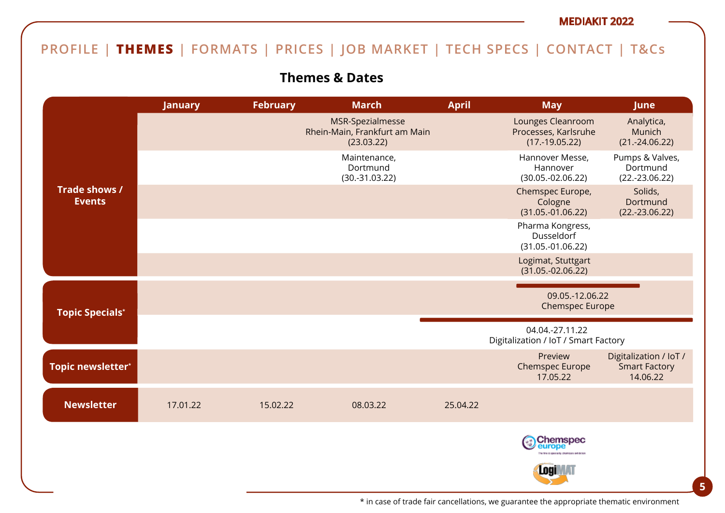# **PROFILE | THEMES | FORMATS | PRICES | JOB MARKET | TECH SPECS | CONTACT | T&Cs**

# **Themes & Dates**

|                                | <b>January</b> | <b>February</b> | <b>March</b>                                                    | <b>April</b> | <b>May</b>                                                    | <b>June</b>                                                |
|--------------------------------|----------------|-----------------|-----------------------------------------------------------------|--------------|---------------------------------------------------------------|------------------------------------------------------------|
|                                |                |                 | MSR-Spezialmesse<br>Rhein-Main, Frankfurt am Main<br>(23.03.22) |              | Lounges Cleanroom<br>Processes, Karlsruhe<br>$(17.-19.05.22)$ | Analytica,<br>Munich<br>$(21.-24.06.22)$                   |
|                                |                |                 | Maintenance,<br>Dortmund<br>$(30.-31.03.22)$                    |              | Hannover Messe,<br>Hannover<br>$(30.05.-02.06.22)$            | Pumps & Valves,<br>Dortmund<br>$(22.-23.06.22)$            |
| Trade shows /<br><b>Events</b> |                |                 |                                                                 |              | Chemspec Europe,<br>Cologne<br>$(31.05.-01.06.22)$            | Solids,<br>Dortmund<br>$(22.-23.06.22)$                    |
|                                |                |                 |                                                                 |              | Pharma Kongress,<br>Dusseldorf<br>$(31.05.-01.06.22)$         |                                                            |
|                                |                |                 |                                                                 |              | Logimat, Stuttgart<br>$(31.05.-02.06.22)$                     |                                                            |
| <b>Topic Specials*</b>         |                |                 |                                                                 |              | 09.05.-12.06.22<br><b>Chemspec Europe</b>                     |                                                            |
|                                |                |                 |                                                                 |              | 04.04.-27.11.22<br>Digitalization / IoT / Smart Factory       |                                                            |
| Topic newsletter*              |                |                 |                                                                 |              | Preview<br><b>Chemspec Europe</b><br>17.05.22                 | Digitalization / IoT /<br><b>Smart Factory</b><br>14.06.22 |
| <b>Newsletter</b>              | 17.01.22       | 15.02.22        | 08.03.22                                                        | 25.04.22     |                                                               |                                                            |
|                                |                |                 |                                                                 |              | Chemspec<br>europe                                            |                                                            |
|                                |                |                 |                                                                 |              | Logil                                                         |                                                            |

**5**<br>**\*** in case of trade fair cancellations, we guarantee the appropriate thematic environment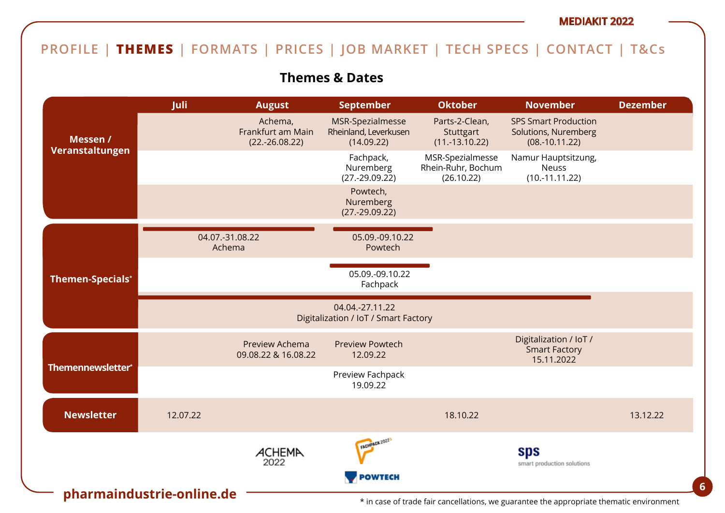# **PROFILE | THEMES | FORMATS | PRICES | JOB MARKET | TECH SPECS | CONTACT | T&Cs**

**Themes & Dates**

|                                      | Juli                      | <b>August</b>                                    | <b>September</b>                                        | <b>Oktober</b>                                       | <b>November</b>                                                         | <b>Dezember</b> |
|--------------------------------------|---------------------------|--------------------------------------------------|---------------------------------------------------------|------------------------------------------------------|-------------------------------------------------------------------------|-----------------|
| Messen /                             |                           | Achema,<br>Frankfurt am Main<br>$(22.-26.08.22)$ | MSR-Spezialmesse<br>Rheinland, Leverkusen<br>(14.09.22) | Parts-2-Clean,<br>Stuttgart<br>$(11.-13.10.22)$      | <b>SPS Smart Production</b><br>Solutions, Nuremberg<br>$(08.-10.11.22)$ |                 |
| Veranstaltungen                      |                           |                                                  | Fachpack,<br>Nuremberg<br>$(27.-29.09.22)$              | MSR-Spezialmesse<br>Rhein-Ruhr, Bochum<br>(26.10.22) | Namur Hauptsitzung,<br><b>Neuss</b><br>$(10.-11.11.22)$                 |                 |
|                                      |                           |                                                  | Powtech,<br>Nuremberg<br>$(27.-29.09.22)$               |                                                      |                                                                         |                 |
|                                      | 04.07.-31.08.22<br>Achema |                                                  | 05.09.-09.10.22<br>Powtech                              |                                                      |                                                                         |                 |
| <b>Themen-Specials*</b>              |                           |                                                  | 05.09.-09.10.22<br>Fachpack                             |                                                      |                                                                         |                 |
|                                      |                           |                                                  | 04.04.-27.11.22<br>Digitalization / IoT / Smart Factory |                                                      |                                                                         |                 |
|                                      |                           | Preview Achema<br>09.08.22 & 16.08.22            | <b>Preview Powtech</b><br>12.09.22                      |                                                      | Digitalization / IoT /<br><b>Smart Factory</b><br>15.11.2022            |                 |
| Themennewsletter*                    |                           |                                                  | Preview Fachpack<br>19.09.22                            |                                                      |                                                                         |                 |
| <b>Newsletter</b>                    | 12.07.22                  |                                                  |                                                         | 18.10.22                                             |                                                                         | 13.12.22        |
|                                      |                           | ACHEMA<br>2022                                   | FACHPACK 2022)                                          |                                                      | sps<br>smart production solutions                                       |                 |
| POWTECH<br>pharmaindustrie-online.de |                           |                                                  |                                                         |                                                      |                                                                         |                 |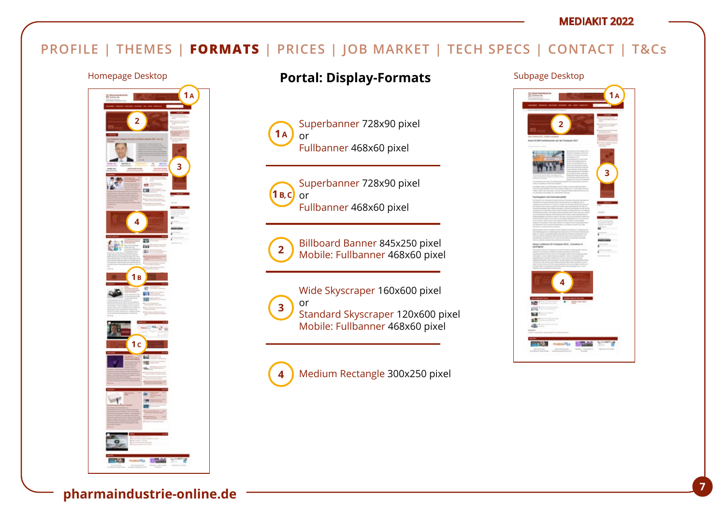# **PROFILE | THEMES | FORMATS | PRICES | JOB MARKET | TECH SPECS | CONTACT | T&Cs**



# Homepage Desktop **Portal: Display-Formats** Subpage Desktop

Superbanner 728x90 pixel or Fullbanner 468x60 pixel  $1 A$ 



Superbanner 728x90 pixel or Fullbanner 468x60 pixel



Billboard Banner 845x250 pixel Mobile: Fullbanner 468x60 pixel

Wide Skyscraper 160x600 pixel or Standard Skyscraper 120x600 pixel Mobile: Fullbanner 468x60 pixel **3**

Medium Rectangle 300x250 pixel **4**

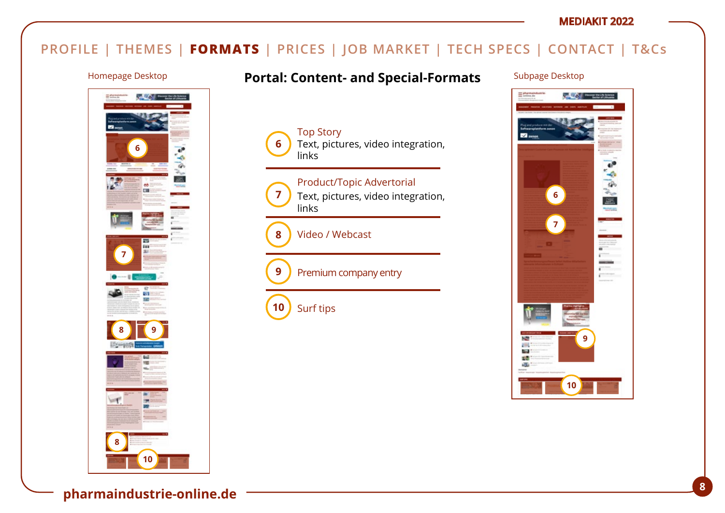# **PROFILE | THEMES | FORMATS | PRICES | JOB MARKET | TECH SPECS | CONTACT | T&Cs**

Top Story

links

**6**

**7**

**9**

**10**

**8**

links

Surf tips

Video / Webcast



# Homepage Desktop **Portal: Content- and Special-Formats** Subpage Desktop

Text, pictures, video integration,

Text, pictures, video integration,

Product/Topic Advertorial

Premium company entry

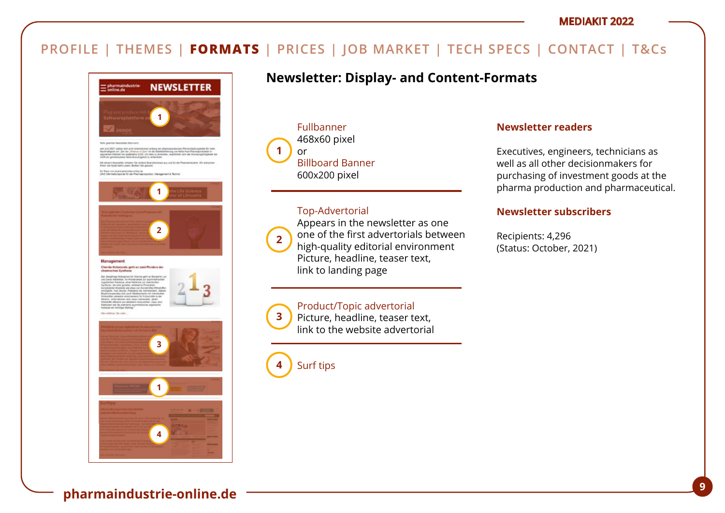# **PROFILE | THEMES | FORMATS | PRICES | JOB MARKET | TECH SPECS | CONTACT | T&Cs**



# **4 3 1**

# **Newsletter: Display- and Content-Formats**

Fullbanner 468x60 pixel or Billboard Banner 600x200 pixel **1**

### Top-Advertorial



**3**

Appears in the newsletter as one one of the first advertorials between high-quality editorial environment Picture, headline, teaser text, link to landing page

### Product/Topic advertorial

Picture, headline, teaser text, link to the website advertorial

Surf tips **4**

### **Newsletter readers**

Executives, engineers, technicians as well as all other decisionmakers for purchasing of investment goods at the pharma production and pharmaceutical.

### **Newsletter subscribers**

Recipients: 4,296 (Status: October, 2021)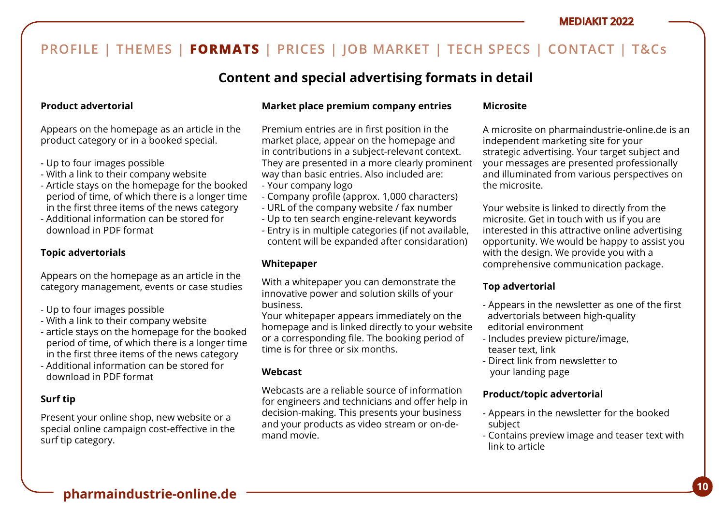# **Content and special advertising formats in detail**

### **Product advertorial**

Appears on the homepage as an article in the product category or in a booked special.

- Up to four images possible
- With a link to their company website
- Article stays on the homepage for the booked period of time, of which there is a longer time in the first three items of the news category
- Additional information can be stored for download in PDF format

### **Topic advertorials**

Appears on the homepage as an article in the category management, events or case studies

- Up to four images possible
- With a link to their company website
- article stays on the homepage for the booked period of time, of which there is a longer time in the first three items of the news category
- Additional information can be stored for download in PDF format

### **Surf tip**

Present your online shop, new website or a special online campaign cost-effective in the surf tip category.

### **Market place premium company entries**

Premium entries are in first position in the market place, appear on the homepage and in contributions in a subject-relevant context. They are presented in a more clearly prominent way than basic entries. Also included are:

- Your company logo
- Company profile (approx. 1,000 characters)
- URL of the company website / fax number
- Up to ten search engine-relevant keywords
- Entry is in multiple categories (if not available, content will be expanded after considaration)

### **Whitepaper**

With a whitepaper you can demonstrate the innovative power and solution skills of your business.

Your whitepaper appears immediately on the homepage and is linked directly to your website or a corresponding file. The booking period of time is for three or six months.

### **Webcast**

Webcasts are a reliable source of information for engineers and technicians and offer help in decision-making. This presents your business and your products as video stream or on-demand movie.

### **Microsite**

A microsite on pharmaindustrie-online.de is an independent marketing site for your strategic advertising. Your target subject and your messages are presented professionally and illuminated from various perspectives on the microsite.

Your website is linked to directly from the microsite. Get in touch with us if you are interested in this attractive online advertising opportunity. We would be happy to assist you with the design. We provide you with a comprehensive communication package.

### **Top advertorial**

- Appears in the newsletter as one of the first advertorials between high-quality editorial environment
- Includes preview picture/image, teaser text, link
- Direct link from newsletter to your landing page

### **Product/topic advertorial**

- Appears in the newsletter for the booked subject
- Contains preview image and teaser text with link to article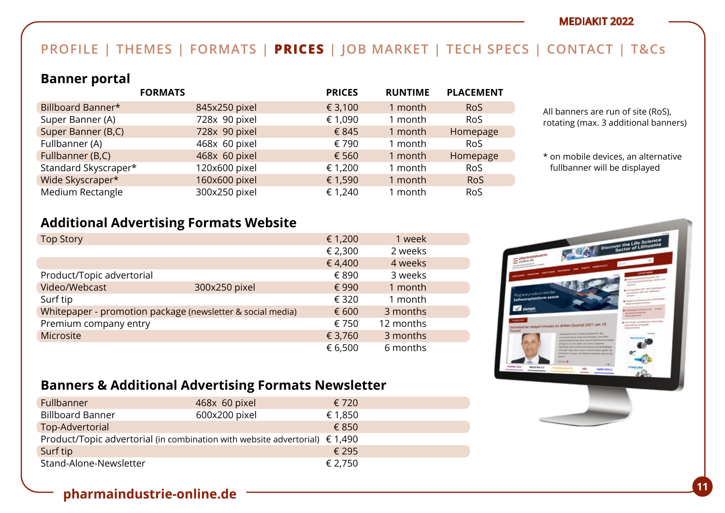# **PROFILE | THEMES | FORMATS | PRICES | JOB MARKET | TECH SPECS | CONTACT | T&Cs**

### **Banner portal**

|                      | <b>FORMATS</b> | <b>PRICES</b> | <b>RUNTIME</b> | <b>PLACEMENT</b> |
|----------------------|----------------|---------------|----------------|------------------|
| Billboard Banner*    | 845x250 pixel  | € 3,100       | 1 month        | <b>RoS</b>       |
| Super Banner (A)     | 728x 90 pixel  | € 1,090       | 1 month        | <b>RoS</b>       |
| Super Banner (B,C)   | 728x 90 pixel  | € 845         | 1 month        | Homepage         |
| Fullbanner (A)       | 468x 60 pixel  | € 790         | 1 month        | <b>RoS</b>       |
| Fullbanner (B,C)     | 468x 60 pixel  | € 560         | 1 month        | Homepage         |
| Standard Skyscraper* | 120x600 pixel  | € 1,200       | 1 month        | <b>RoS</b>       |
| Wide Skyscraper*     | 160x600 pixel  | € 1,590       | 1 month        | <b>RoS</b>       |
| Medium Rectangle     | 300x250 pixel  | € 1,240       | 1 month        | <b>RoS</b>       |

All banners are run of site (RoS), rotating (max. 3 additional banners)

\* on mobile devices, an alternative fullbanner will be displayed

# **Additional Advertising Formats Website**

| <b>Top Story</b>          |                                                            | € 1,200 | 1 week    |  |
|---------------------------|------------------------------------------------------------|---------|-----------|--|
|                           |                                                            | € 2,300 | 2 weeks   |  |
|                           |                                                            | €4,400  | 4 weeks   |  |
| Product/Topic advertorial |                                                            | € 890   | 3 weeks   |  |
| Video/Webcast             | 300x250 pixel                                              | € 990   | 1 month   |  |
| Surf tip                  |                                                            | € 320   | 1 month   |  |
|                           | Whitepaper - promotion package (newsletter & social media) | € 600   | 3 months  |  |
| Premium company entry     |                                                            | € 750   | 12 months |  |
| Microsite                 |                                                            | € 3,760 | 3 months  |  |
|                           |                                                            | € 6,500 | 6 months  |  |



# **Banners & Additional Advertising Formats Newsletter**

| Fullbanner                                                                           | 468x 60 pixel | € 720   |
|--------------------------------------------------------------------------------------|---------------|---------|
| <b>Billboard Banner</b>                                                              | 600x200 pixel | € 1,850 |
| Top-Advertorial                                                                      |               | € 850   |
| Product/Topic advertorial (in combination with website advertorial) $\epsilon$ 1,490 |               |         |
| Surf tip                                                                             |               | € 295   |
| Stand-Alone-Newsletter                                                               |               | € 2,750 |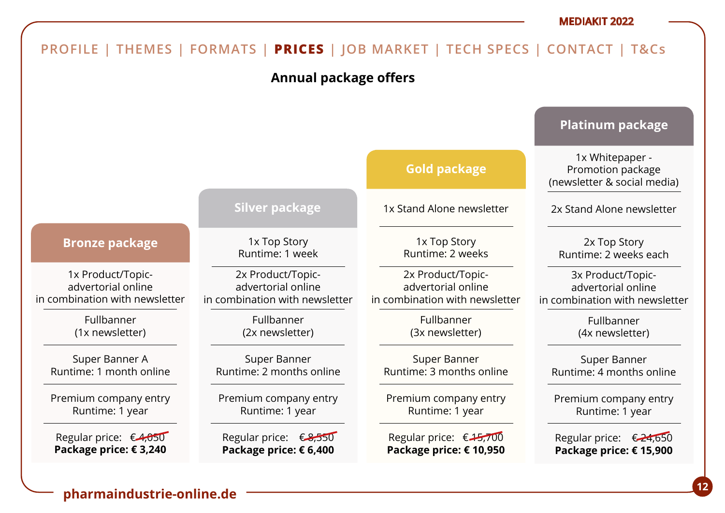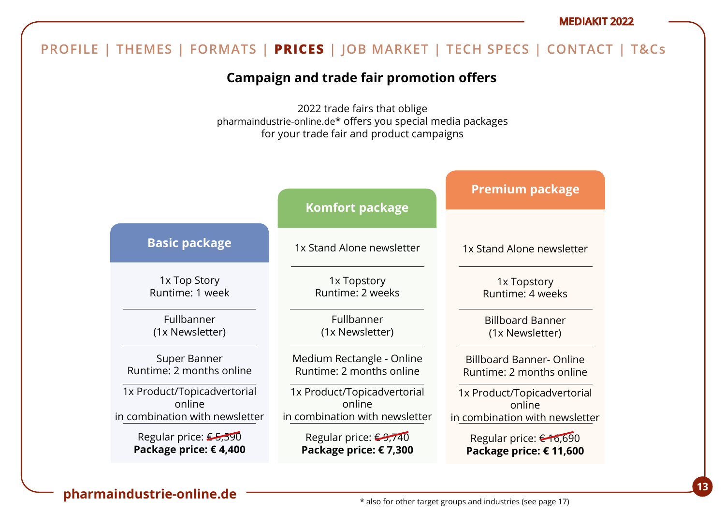#### **Campaign and trade fair promotion offers** 2022 trade fairs that oblige pharmaindustrie-online.de\* offers you special media packages for your trade fair and product campaigns 1x Top Story Runtime: 1 week Fullbanner (1x Newsletter) Super Banner Runtime: 2 months online 1x Product/Topicadvertorial online in combination with newsletter Regular price: €5,590 **Package price: € 4,400 Basic package** 1x Stand Alone newsletter 1x Topstory Runtime: 2 weeks Fullbanner (1x Newsletter) Medium Rectangle - Online Runtime: 2 months online 1x Product/Topicadvertorial online in combination with newsletter Regular price: <del>€9,740</del> **Package price: € 7,300 Komfort package** 1x Stand Alone newsletter 1x Topstory Runtime: 4 weeks Billboard Banner (1x Newsletter) Billboard Banner- Online Runtime: 2 months online 1x Product/Topicadvertorial online in combination with newsletter Regular price: € 16,690 **Package price: € 11,600 Premium package PROFILE | THEMES | FORMATS | PRICES | JOB MARKET | TECH SPECS | CONTACT | T&Cs**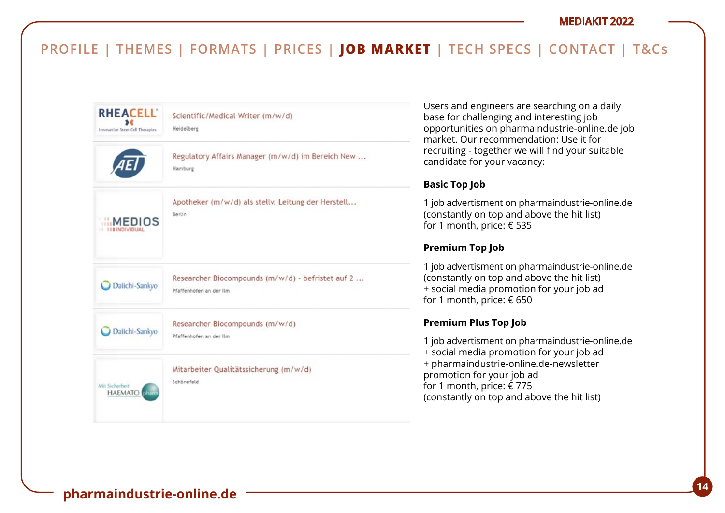

Users and engineers are searching on a daily base for challenging and interesting job opportunities on pharmaindustrie-online.de job market. Our recommendation: Use it for recruiting - together we will find your suitable candidate for your vacancy:

### **Basic Top Job**

1 job advertisment on pharmaindustrie-online.de (constantly on top and above the hit list) for 1 month, price: € 535

### **Premium Top Job**

1 job advertisment on pharmaindustrie-online.de (constantly on top and above the hit list) + social media promotion for your job ad for 1 month, price: € 650

### **Premium Plus Top Job**

1 job advertisment on pharmaindustrie-online.de + social media promotion for your job ad + pharmaindustrie-online.de-newsletter promotion for your job ad for 1 month, price: € 775 (constantly on top and above the hit list)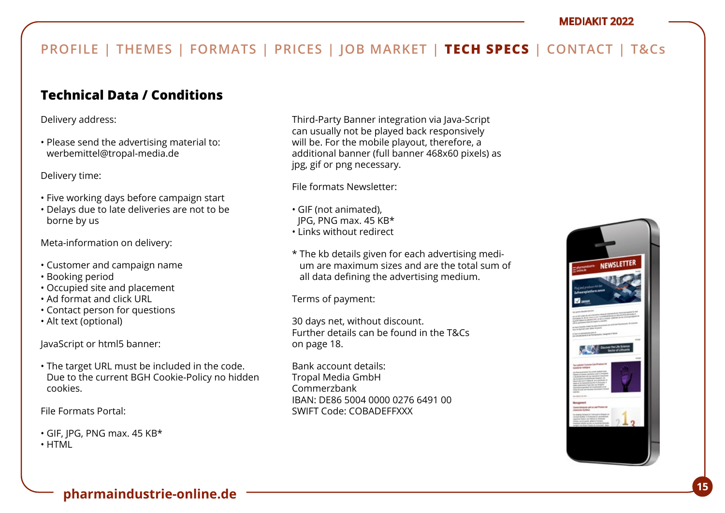# **Technical Data / Conditions**

Delivery address:

• Please send the advertising material to: werbemittel@tropal-media.de

Delivery time:

- Five working days before campaign start
- Delays due to late deliveries are not to be borne by us

Meta-information on delivery:

- Customer and campaign name
- Booking period
- Occupied site and placement
- Ad format and click URL
- Contact person for questions
- Alt text (optional)

JavaScript or html5 banner:

• The target URL must be included in the code. Due to the current BGH Cookie-Policy no hidden cookies.

File Formats Portal:

• GIF, JPG, PNG max. 45 KB\*

• HTML

Third-Party Banner integration via Java-Script can usually not be played back responsively will be. For the mobile playout, therefore, a additional banner (full banner 468x60 pixels) as jpg, gif or png necessary.

File formats Newsletter:

- GIF (not animated),
- JPG, PNG max. 45 KB\*
- Links without redirect
- \* The kb details given for each advertising medium are maximum sizes and are the total sum of all data defining the advertising medium.

Terms of payment:

30 days net, without discount. Further details can be found in the T&Cs on page 18.

Bank account details: Tropal Media GmbH Commerzbank IBAN: DE86 5004 0000 0276 6491 00 SWIFT Code: COBADEFFXXX

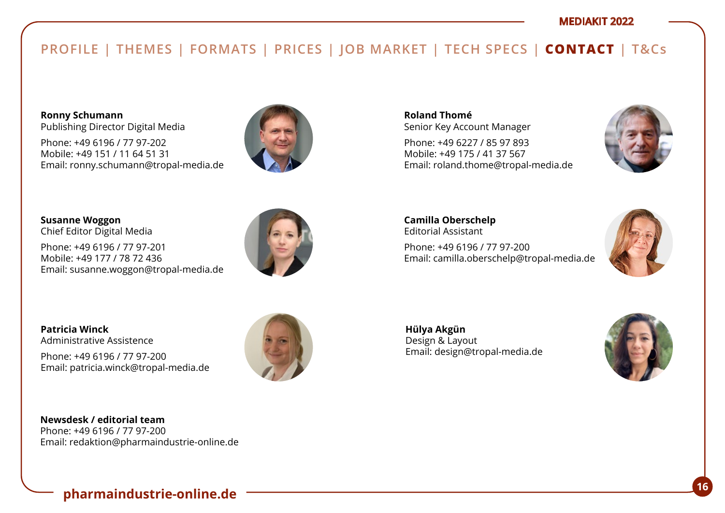# **PROFILE | THEMES | FORMATS | PRICES | JOB MARKET | TECH SPECS | CONTACT | T&Cs**

**Ronny Schumann**  Publishing Director Digital Media

Phone: +49 6196 / 77 97-202 Mobile: +49 151 / 11 64 51 31 Email: ronny.schumann@tropal-media.de



**Susanne Woggon**  Chief Editor Digital Media

Phone: +49 6196 / 77 97-201 Mobile: +49 177 / 78 72 436 Email: susanne.woggon@tropal-media.de



**Patricia Winck** Administrative Assistence

Phone: +49 6196 / 77 97-200 Email: patricia.winck@tropal-media.de



**Roland Thomé** Senior Key Account Manager

Phone: +49 6227 / 85 97 893 Mobile: +49 175 / 41 37 567 Email: roland.thome@tropal-media.de



**Camilla Oberschelp** Editorial Assistant Phone: +49 6196 / 77 97-200 Email: camilla.oberschelp@tropal-media.de



**Hülya Akgün**  Design & Layout Email: design@tropal-media.de

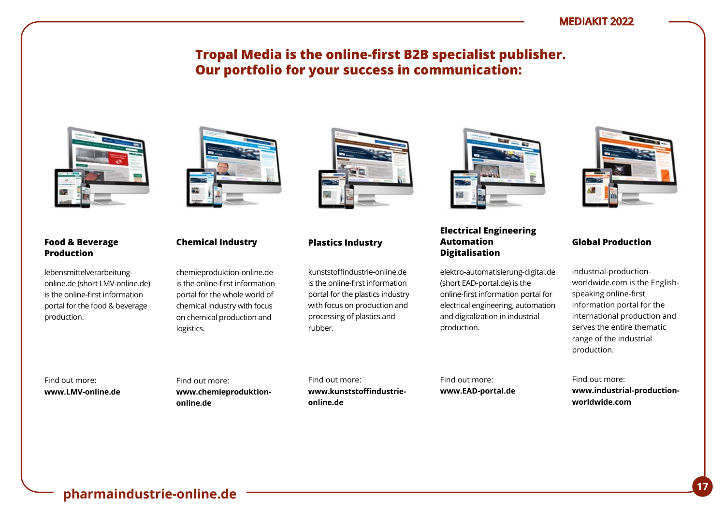# **Tropal Media is the online-first B2B specialist publisher. Our portfolio for your success in communication:**



#### **Food & Beverage Production**

lebensmittelverarbeitungonline.de (short LMV-online.de) is the online-first information portal for the food & beverage production.



### **Chemical Industry**

chemieproduktion-online.de is the online-first information portal for the whole world of chemical industry with focus on chemical production and logistics.

kunststoffindustrie-online.de is the online-first information portal for the plastics industry with focus on production and processing of plastics and rubber.

**Plastics Industry**



### **Electrical Engineering Automation Digitalisation**

elektro-automatisierung-digital.de (short EAD-portal.de) is the online-first information portal for electrical engineering, automation and digitalization in industrial production.



#### **Global Production**

industrial-productionworldwide.com is the Englishspeaking online-first information portal for the international production and serves the entire thematic range of the industrial production.

Find out more: **www.LMV-online.de** Find out more: **www.chemieproduktiononline.de**

Find out more: **www.kunststoffindustrieonline.de**

Find out more: **www.EAD-portal.de**

Find out more: **www.industrial-productionworldwide.com**